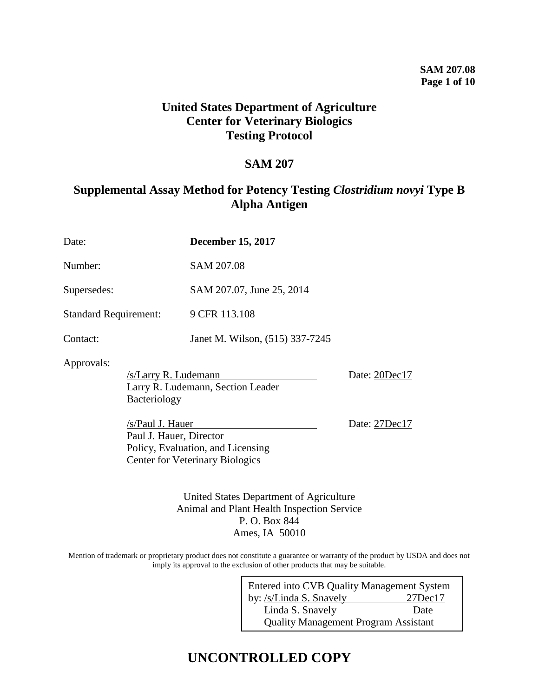### **SAM 207.08 Page 1 of 10**

# **United States Department of Agriculture Center for Veterinary Biologics Testing Protocol**

# **SAM 207**

# **Supplemental Assay Method for Potency Testing** *Clostridium novyi* **Type B Alpha Antigen**

| Date:                                                                                             | <b>December 15, 2017</b>                                                                                         |                                |
|---------------------------------------------------------------------------------------------------|------------------------------------------------------------------------------------------------------------------|--------------------------------|
| Number:                                                                                           | SAM 207.08                                                                                                       |                                |
| Supersedes:                                                                                       | SAM 207.07, June 25, 2014                                                                                        |                                |
| <b>Standard Requirement:</b>                                                                      | 9 CFR 113.108                                                                                                    |                                |
| Contact:                                                                                          | Janet M. Wilson, (515) 337-7245                                                                                  |                                |
| Approvals:<br>/s/Larry R. Ludemann<br>Bacteriology<br>/s/Paul J. Hauer<br>Paul J. Hauer, Director | Larry R. Ludemann, Section Leader<br>Policy, Evaluation, and Licensing<br><b>Center for Veterinary Biologics</b> | Date: 20Dec17<br>Date: 27Dec17 |

United States Department of Agriculture Animal and Plant Health Inspection Service P. O. Box 844 Ames, IA 50010

Mention of trademark or proprietary product does not constitute a guarantee or warranty of the product by USDA and does not imply its approval to the exclusion of other products that may be suitable.

| Entered into CVB Quality Management System  |               |  |
|---------------------------------------------|---------------|--|
| by: /s/Linda S. Snavely                     | $27$ Dec $17$ |  |
| Linda S. Snavely                            | Date          |  |
| <b>Quality Management Program Assistant</b> |               |  |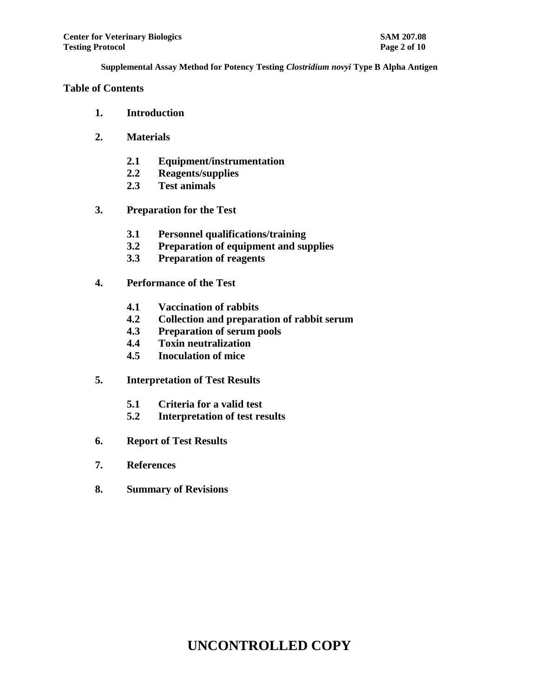## **Table of Contents**

- **1. Introduction**
- **2. Materials** 
	- **2.1 Equipment/instrumentation**
	- **2.2 Reagents/supplies**
	- **2.3 Test animals**
- **3. Preparation for the Test** 
	- **3.1 Personnel qualifications/training**
	- **3.2 Preparation of equipment and supplies**
	- **3.3 Preparation of reagents**
- **4. Performance of the Test** 
	- **4.1 Vaccination of rabbits**
	- **4.2 Collection and preparation of rabbit serum**
	- **4.3 Preparation of serum pools**
	- **4.4 Toxin neutralization**
	- **4.5 Inoculation of mice**
- **5. Interpretation of Test Results** 
	- **5.1 Criteria for a valid test**
	- **5.2 Interpretation of test results**
- **6. Report of Test Results**
- **7. References**
- **8. Summary of Revisions**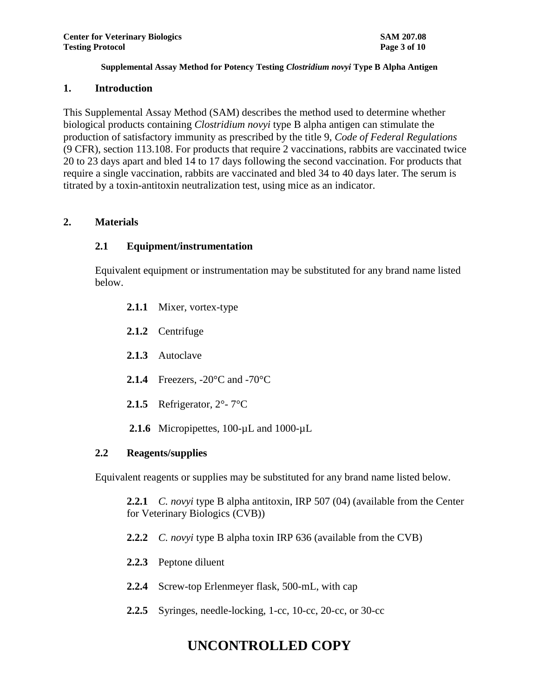### **1. Introduction**

This Supplemental Assay Method (SAM) describes the method used to determine whether biological products containing *Clostridium novyi* type B alpha antigen can stimulate the production of satisfactory immunity as prescribed by the title 9, *Code of Federal Regulations* (9 CFR), section 113.108. For products that require 2 vaccinations, rabbits are vaccinated twice 20 to 23 days apart and bled 14 to 17 days following the second vaccination. For products that require a single vaccination, rabbits are vaccinated and bled 34 to 40 days later. The serum is titrated by a toxin-antitoxin neutralization test, using mice as an indicator.

### **2. Materials**

## **2.1 Equipment/instrumentation**

Equivalent equipment or instrumentation may be substituted for any brand name listed below.

- **2.1.1** Mixer, vortex-type
- **2.1.2** Centrifuge
- **2.1.3** Autoclave
- **2.1.4** Freezers, -20°C and -70°C
- **2.1.5** Refrigerator, 2°- 7°C
- 2.1.6 Micropipettes, 100-uL and 1000-uL

### **2.2 Reagents/supplies**

Equivalent reagents or supplies may be substituted for any brand name listed below.

**2.2.1** *C. novyi* type B alpha antitoxin, IRP 507 (04) (available from the Center for Veterinary Biologics (CVB))

- **2.2.2** *C. novyi* type B alpha toxin IRP 636 (available from the CVB)
- **2.2.3** Peptone diluent
- **2.2.4** Screw-top Erlenmeyer flask, 500-mL, with cap
- **2.2.5** Syringes, needle-locking, 1-cc, 10-cc, 20-cc, or 30-cc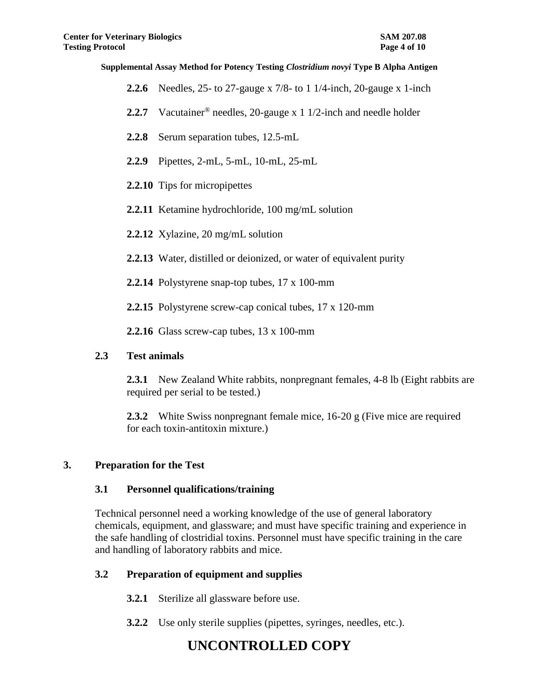- **2.2.6** Needles, 25- to 27-gauge x 7/8- to 1 1/4-inch, 20-gauge x 1-inch
- **2.2.7** Vacutainer® needles, 20-gauge x 1 1/2-inch and needle holder
- **2.2.8** Serum separation tubes, 12.5-mL
- **2.2.9** Pipettes, 2-mL, 5-mL, 10-mL, 25-mL
- **2.2.10** Tips for micropipettes
- **2.2.11** Ketamine hydrochloride, 100 mg/mL solution
- **2.2.12** Xylazine, 20 mg/mL solution
- **2.2.13** Water, distilled or deionized, or water of equivalent purity
- **2.2.14** Polystyrene snap-top tubes, 17 x 100-mm
- **2.2.15** Polystyrene screw-cap conical tubes, 17 x 120-mm
- **2.2.16** Glass screw-cap tubes, 13 x 100-mm

### **2.3 Test animals**

**2.3.1** New Zealand White rabbits, nonpregnant females, 4-8 lb (Eight rabbits are required per serial to be tested.)

**2.3.2** White Swiss nonpregnant female mice, 16-20 g (Five mice are required for each toxin-antitoxin mixture.)

### **3. Preparation for the Test**

### **3.1 Personnel qualifications/training**

Technical personnel need a working knowledge of the use of general laboratory chemicals, equipment, and glassware; and must have specific training and experience in the safe handling of clostridial toxins. Personnel must have specific training in the care and handling of laboratory rabbits and mice.

# **3.2 Preparation of equipment and supplies**

- **3.2.1** Sterilize all glassware before use.
- **3.2.2** Use only sterile supplies (pipettes, syringes, needles, etc.).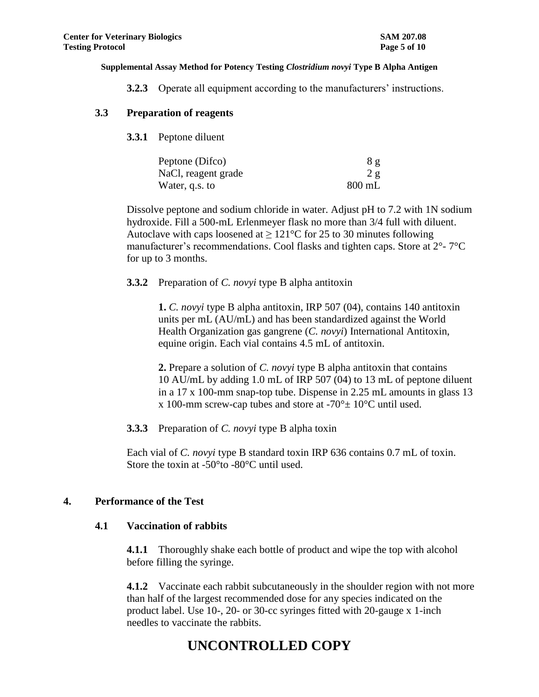**3.2.3** Operate all equipment according to the manufacturers' instructions.

### **3.3 Preparation of reagents**

**3.3.1** Peptone diluent

| Peptone (Difco)     | 8g       |
|---------------------|----------|
| NaCl, reagent grade | 2 g      |
| Water, q.s. to      | $800$ mL |

Dissolve peptone and sodium chloride in water. Adjust pH to 7.2 with 1N sodium hydroxide. Fill a 500-mL Erlenmeyer flask no more than 3/4 full with diluent. Autoclave with caps loosened at  $\geq 121^{\circ}$ C for 25 to 30 minutes following manufacturer's recommendations. Cool flasks and tighten caps. Store at 2°- 7°C for up to 3 months.

#### **3.3.2** Preparation of *C. novyi* type B alpha antitoxin

**1.** *C. novyi* type B alpha antitoxin, IRP 507 (04), contains 140 antitoxin units per mL (AU/mL) and has been standardized against the World Health Organization gas gangrene (*C. novyi*) International Antitoxin, equine origin. Each vial contains 4.5 mL of antitoxin.

**2.** Prepare a solution of *C. novyi* type B alpha antitoxin that contains 10 AU/mL by adding 1.0 mL of IRP 507 (04) to 13 mL of peptone diluent in a 17 x 100-mm snap-top tube. Dispense in 2.25 mL amounts in glass 13 x 100-mm screw-cap tubes and store at  $-70^{\circ}$  ± 10°C until used.

**3.3.3** Preparation of *C. novyi* type B alpha toxin

Each vial of *C. novyi* type B standard toxin IRP 636 contains 0.7 mL of toxin. Store the toxin at -50°to -80°C until used.

#### **4. Performance of the Test**

#### **4.1 Vaccination of rabbits**

**4.1.1** Thoroughly shake each bottle of product and wipe the top with alcohol before filling the syringe.

**4.1.2** Vaccinate each rabbit subcutaneously in the shoulder region with not more than half of the largest recommended dose for any species indicated on the product label. Use 10-, 20- or 30-cc syringes fitted with 20-gauge x 1-inch needles to vaccinate the rabbits.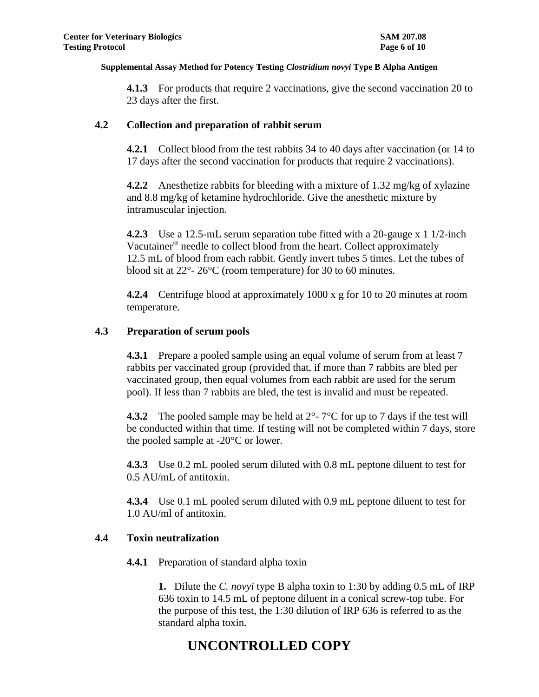**4.1.3** For products that require 2 vaccinations, give the second vaccination 20 to 23 days after the first.

### **4.2 Collection and preparation of rabbit serum**

**4.2.1** Collect blood from the test rabbits 34 to 40 days after vaccination (or 14 to 17 days after the second vaccination for products that require 2 vaccinations).

**4.2.2** Anesthetize rabbits for bleeding with a mixture of 1.32 mg/kg of xylazine and 8.8 mg/kg of ketamine hydrochloride. Give the anesthetic mixture by intramuscular injection.

**4.2.3** Use a 12.5-mL serum separation tube fitted with a 20-gauge x 1 1/2-inch Vacutainer® needle to collect blood from the heart. Collect approximately 12.5 mL of blood from each rabbit. Gently invert tubes 5 times. Let the tubes of blood sit at 22°- 26°C (room temperature) for 30 to 60 minutes.

**4.2.4** Centrifuge blood at approximately 1000 x g for 10 to 20 minutes at room temperature.

### **4.3 Preparation of serum pools**

**4.3.1** Prepare a pooled sample using an equal volume of serum from at least 7 rabbits per vaccinated group (provided that, if more than 7 rabbits are bled per vaccinated group, then equal volumes from each rabbit are used for the serum pool). If less than 7 rabbits are bled, the test is invalid and must be repeated.

**4.3.2** The pooled sample may be held at  $2^\circ$ -  $7^\circ$ C for up to 7 days if the test will be conducted within that time. If testing will not be completed within 7 days, store the pooled sample at -20°C or lower.

**4.3.3** Use 0.2 mL pooled serum diluted with 0.8 mL peptone diluent to test for 0.5 AU/mL of antitoxin.

**4.3.4** Use 0.1 mL pooled serum diluted with 0.9 mL peptone diluent to test for 1.0 AU/ml of antitoxin.

### **4.4 Toxin neutralization**

**4.4.1** Preparation of standard alpha toxin

**1.** Dilute the *C. novyi* type B alpha toxin to 1:30 by adding 0.5 mL of IRP 636 toxin to 14.5 mL of peptone diluent in a conical screw-top tube. For the purpose of this test, the 1:30 dilution of IRP 636 is referred to as the standard alpha toxin.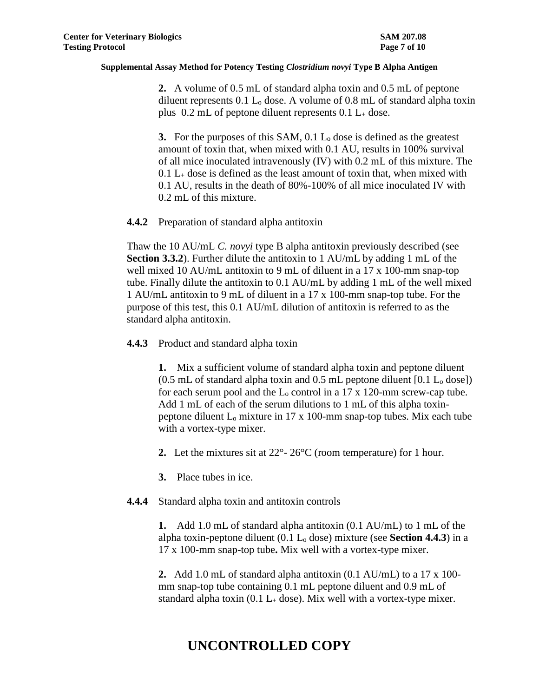**2.** A volume of 0.5 mL of standard alpha toxin and 0.5 mL of peptone diluent represents 0.1 L<sup>o</sup> dose. A volume of 0.8 mL of standard alpha toxin plus  $0.2$  mL of peptone diluent represents  $0.1$  L<sub>+</sub> dose.

**3.** For the purposes of this SAM, 0.1 L<sub>0</sub> dose is defined as the greatest amount of toxin that, when mixed with 0.1 AU, results in 100% survival of all mice inoculated intravenously (IV) with 0.2 mL of this mixture. The  $0.1$  L<sub>+</sub> dose is defined as the least amount of toxin that, when mixed with 0.1 AU, results in the death of 80%-100% of all mice inoculated IV with 0.2 mL of this mixture.

**4.4.2** Preparation of standard alpha antitoxin

Thaw the 10 AU/mL *C. novyi* type B alpha antitoxin previously described (see **Section 3.3.2**). Further dilute the antitoxin to 1 AU/mL by adding 1 mL of the well mixed 10 AU/mL antitoxin to 9 mL of diluent in a 17 x 100-mm snap-top tube. Finally dilute the antitoxin to 0.1 AU/mL by adding 1 mL of the well mixed 1 AU/mL antitoxin to 9 mL of diluent in a 17 x 100-mm snap-top tube. For the purpose of this test, this 0.1 AU/mL dilution of antitoxin is referred to as the standard alpha antitoxin.

**4.4.3** Product and standard alpha toxin

**1.** Mix a sufficient volume of standard alpha toxin and peptone diluent  $(0.5 \text{ mL of standard alpha toxin and } 0.5 \text{ mL perbone diluent } [0.1 \text{ L}_0 \text{ dose}])$ for each serum pool and the  $L_0$  control in a 17 x 120-mm screw-cap tube. Add 1 mL of each of the serum dilutions to 1 mL of this alpha toxinpeptone diluent  $L_0$  mixture in 17 x 100-mm snap-top tubes. Mix each tube with a vortex-type mixer.

**2.** Let the mixtures sit at 22°- 26°C (room temperature) for 1 hour.

**3.** Place tubes in ice.

**4.4.4** Standard alpha toxin and antitoxin controls

**1.** Add 1.0 mL of standard alpha antitoxin (0.1 AU/mL) to 1 mL of the alpha toxin-peptone diluent  $(0.1 L_0$  dose) mixture (see **Section 4.4.3**) in a 17 x 100-mm snap-top tube**.** Mix well with a vortex-type mixer.

**2.** Add 1.0 mL of standard alpha antitoxin (0.1 AU/mL) to a 17 x 100 mm snap-top tube containing 0.1 mL peptone diluent and 0.9 mL of standard alpha toxin  $(0.1 L<sub>+</sub>$  dose). Mix well with a vortex-type mixer.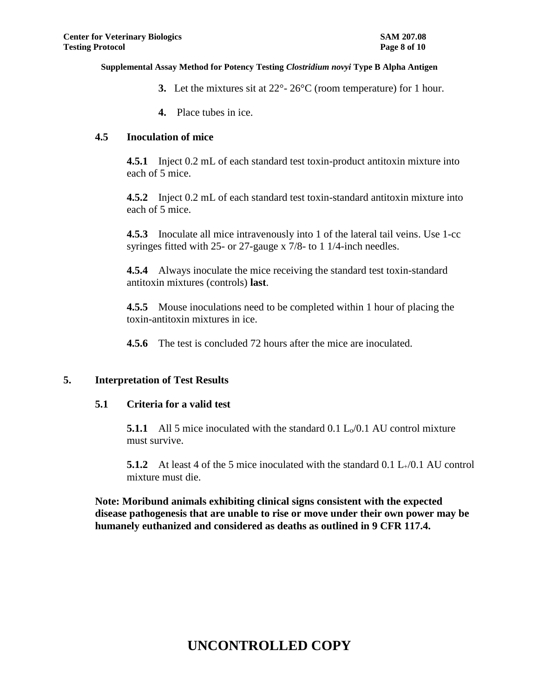- **3.** Let the mixtures sit at 22°- 26°C (room temperature) for 1 hour.
- **4.** Place tubes in ice.

#### **4.5 Inoculation of mice**

**4.5.1** Inject 0.2 mL of each standard test toxin-product antitoxin mixture into each of 5 mice.

**4.5.2** Inject 0.2 mL of each standard test toxin-standard antitoxin mixture into each of 5 mice.

**4.5.3** Inoculate all mice intravenously into 1 of the lateral tail veins. Use 1-cc syringes fitted with 25- or 27-gauge x 7/8- to 1 1/4-inch needles.

**4.5.4** Always inoculate the mice receiving the standard test toxin-standard antitoxin mixtures (controls) **last**.

**4.5.5** Mouse inoculations need to be completed within 1 hour of placing the toxin-antitoxin mixtures in ice.

**4.5.6** The test is concluded 72 hours after the mice are inoculated.

## **5. Interpretation of Test Results**

#### **5.1 Criteria for a valid test**

**5.1.1** All 5 mice inoculated with the standard 0.1  $L_0/0.1$  AU control mixture must survive.

**5.1.2** At least 4 of the 5 mice inoculated with the standard 0.1 L<sub>+</sub>/0.1 AU control mixture must die.

**Note: Moribund animals exhibiting clinical signs consistent with the expected disease pathogenesis that are unable to rise or move under their own power may be humanely euthanized and considered as deaths as outlined in 9 CFR 117.4.**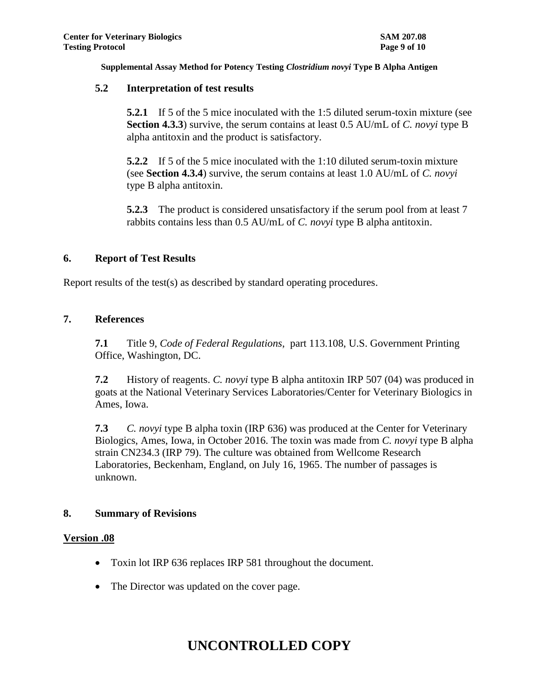### **5.2 Interpretation of test results**

**5.2.1** If 5 of the 5 mice inoculated with the 1:5 diluted serum-toxin mixture (see **Section 4.3.3**) survive, the serum contains at least 0.5 AU/mL of *C. novyi* type B alpha antitoxin and the product is satisfactory.

**5.2.2** If 5 of the 5 mice inoculated with the 1:10 diluted serum-toxin mixture (see **Section 4.3.4**) survive, the serum contains at least 1.0 AU/mL of *C. novyi*  type B alpha antitoxin.

**5.2.3** The product is considered unsatisfactory if the serum pool from at least 7 rabbits contains less than 0.5 AU/mL of *C. novyi* type B alpha antitoxin.

#### **6. Report of Test Results**

Report results of the test(s) as described by standard operating procedures.

### **7. References**

**7.1** Title 9, *Code of Federal Regulations*, part 113.108, U.S. Government Printing Office, Washington, DC.

**7.2** History of reagents. *C. novyi* type B alpha antitoxin IRP 507 (04) was produced in goats at the National Veterinary Services Laboratories/Center for Veterinary Biologics in Ames, Iowa.

**7.3** *C. novyi* type B alpha toxin (IRP 636) was produced at the Center for Veterinary Biologics, Ames, Iowa, in October 2016. The toxin was made from *C. novyi* type B alpha strain CN234.3 (IRP 79). The culture was obtained from Wellcome Research Laboratories, Beckenham, England, on July 16, 1965. The number of passages is unknown.

### **8. Summary of Revisions**

#### **Version .08**

- Toxin lot IRP 636 replaces IRP 581 throughout the document.
- The Director was updated on the cover page.